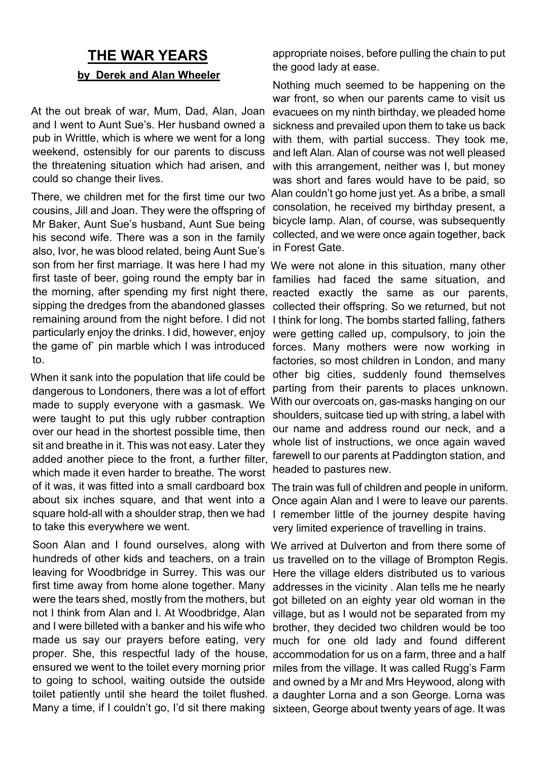## **THE WAR YEARS by Derek and Alan Wheeler**

At the out break of war, Mum, Dad, Alan, Joan and I went to Aunt Sue's. Her husband owned a pub in Writtle, which is where we went for a long weekend, ostensibly for our parents to discuss the threatening situation which had arisen, and could so change their lives.

There, we children met for the first time our two cousins, Jill and Joan. They were the offspring of Mr Baker, Aunt Sue's husband, Aunt Sue being his second wife. There was a son in the family also, Ivor, he was blood related, being Aunt Sue's son from her first marriage. It was here I had my first taste of beer, going round the empty bar in the morning, after spending my first night there, reacted exactly the same as our parents, sipping the dredges from the abandoned glasses remaining around from the night before. I did not particularly enjoy the drinks. I did, however, enjoy the game of` pin marble which I was introduced to.

When it sank into the population that life could be dangerous to Londoners, there was a lot of effort made to supply everyone with a gasmask. We were taught to put this ugly rubber contraption over our head in the shortest possible time, then sit and breathe in it. This was not easy. Later they added another piece to the front, a further filter, which made it even harder to breathe. The worst of it was, it was fitted into a small cardboard box about six inches square, and that went into a square hold-all with a shoulder strap, then we had to take this everywhere we went.

Soon Alan and I found ourselves, along with We arrived at Dulverton and from there some of hundreds of other kids and teachers, on a train leaving for Woodbridge in Surrey. This was our first time away from home alone together. Many were the tears shed, mostly from the mothers, but not I think from Alan and I. At Woodbridge, Alan and I were billeted with a banker and his wife who made us say our prayers before eating, very proper. She, this respectful lady of the house, accommodation for us on a farm, three and a half ensured we went to the toilet every morning prior miles from the village. It was called Rugg's Farm to going to school, waiting outside the outside and owned by a Mr and Mrs Heywood, along with toilet patiently until she heard the toilet flushed. a daughter Lorna and a son George. Lorna was

appropriate noises, before pulling the chain to put the good lady at ease.

Nothing much seemed to be happening on the war front, so when our parents came to visit us evacuees on my ninth birthday, we pleaded home sickness and prevailed upon them to take us back with them, with partial success. They took me, and left Alan. Alan of course was not well pleased with this arrangement, neither was I, but money was short and fares would have to be paid, so Alan couldn't go home just yet. As a bribe, a small consolation, he received my birthday present, a bicycle lamp. Alan, of course, was subsequently collected, and we were once again together, back in Forest Gate.

We were not alone in this situation, many other families had faced the same situation, and collected their offspring. So we returned, but not I think for long. The bombs started falling, fathers were getting called up, compulsory, to join the forces. Many mothers were now working in factories, so most children in London, and many other big cities, suddenly found themselves parting from their parents to places unknown. With our overcoats on, gas-masks hanging on our shoulders, suitcase tied up with string, a label with our name and address round our neck, and a whole list of instructions, we once again waved farewell to our parents at Paddington station, and headed to pastures new.

The train was full of children and people in uniform. Once again Alan and I were to leave our parents. I remember little of the journey despite having very limited experience of travelling in trains.

Many a time, if I couldn't go, I'd sit there making sixteen, George about twenty years of age. It was us travelled on to the village of Brompton Regis. Here the village elders distributed us to various addresses in the vicinity . Alan tells me he nearly got billeted on an eighty year old woman in the village, but as I would not be separated from my brother, they decided two children would be too much for one old lady and found different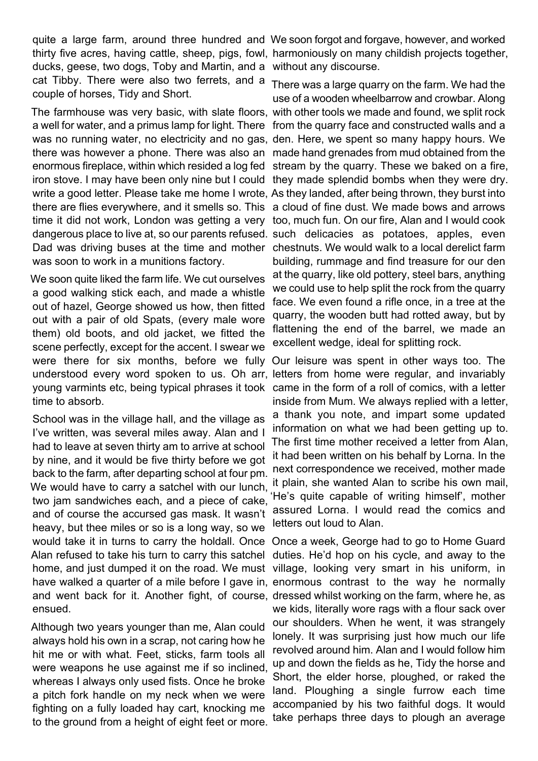quite a large farm, around three hundred and We soon forgot and forgave, however, and worked ducks, geese, two dogs, Toby and Martin, and a without any discourse. cat Tibby. There were also two ferrets, and a couple of horses, Tidy and Short.

The farmhouse was very basic, with slate floors, with other tools we made and found, we split rock a well for water, and a primus lamp for light. There from the quarry face and constructed walls and a was no running water, no electricity and no gas, den. Here, we spent so many happy hours. We there was however a phone. There was also an made hand grenades from mud obtained from the enormous fireplace, within which resided a log fed stream by the quarry. These we baked on a fire, iron stove. I may have been only nine but I could they made splendid bombs when they were dry. write a good letter. Please take me home I wrote, As they landed, after being thrown, they burst into there are flies everywhere, and it smells so. This a cloud of fine dust. We made bows and arrows time it did not work, London was getting a very too, much fun. On our fire, Alan and I would cook dangerous place to live at, so our parents refused. such delicacies as potatoes, apples, even Dad was driving buses at the time and mother chestnuts. We would walk to a local derelict farm was soon to work in a munitions factory.

We soon quite liked the farm life. We cut ourselves a good walking stick each, and made a whistle out of hazel, George showed us how, then fitted out with a pair of old Spats, (every male wore them) old boots, and old jacket, we fitted the scene perfectly, except for the accent. I swear we were there for six months, before we fully understood every word spoken to us. Oh arr, letters from home were regular, and invariably young varmints etc, being typical phrases it took came in the form of a roll of comics, with a letter time to absorb.

School was in the village hall, and the village as I've written, was several miles away. Alan and I had to leave at seven thirty am to arrive at school by nine, and it would be five thirty before we got back to the farm, after departing school at four pm. We would have to carry a satchel with our lunch, two jam sandwiches each, and a piece of cake, and of course the accursed gas mask. It wasn't heavy, but thee miles or so is a long way, so we would take it in turns to carry the holdall. Once Alan refused to take his turn to carry this satchel home, and just dumped it on the road. We must have walked a quarter of a mile before I gave in, enormous contrast to the way he normally and went back for it. Another fight, of course, dressed whilst working on the farm, where he, as ensued.

Although two years younger than me, Alan could always hold his own in a scrap, not caring how he hit me or with what. Feet, sticks, farm tools all were weapons he use against me if so inclined, whereas I always only used fists. Once he broke a pitch fork handle on my neck when we were fighting on a fully loaded hay cart, knocking me to the ground from a height of eight feet or more.

thirty five acres, having cattle, sheep, pigs, fowl, harmoniously on many childish projects together,

There was a large quarry on the farm. We had the use of a wooden wheelbarrow and crowbar. Along building, rummage and find treasure for our den at the quarry, like old pottery, steel bars, anything we could use to help split the rock from the quarry face. We even found a rifle once, in a tree at the quarry, the wooden butt had rotted away, but by flattening the end of the barrel, we made an excellent wedge, ideal for splitting rock.

Our leisure was spent in other ways too. The inside from Mum. We always replied with a letter, a thank you note, and impart some updated information on what we had been getting up to. The first time mother received a letter from Alan, it had been written on his behalf by Lorna. In the next correspondence we received, mother made it plain, she wanted Alan to scribe his own mail, 'He's quite capable of writing himself', mother assured Lorna. I would read the comics and letters out loud to Alan.

Once a week, George had to go to Home Guard duties. He'd hop on his cycle, and away to the village, looking very smart in his uniform, in we kids, literally wore rags with a flour sack over our shoulders. When he went, it was strangely lonely. It was surprising just how much our life revolved around him. Alan and I would follow him up and down the fields as he, Tidy the horse and Short, the elder horse, ploughed, or raked the land. Ploughing a single furrow each time accompanied by his two faithful dogs. It would take perhaps three days to plough an average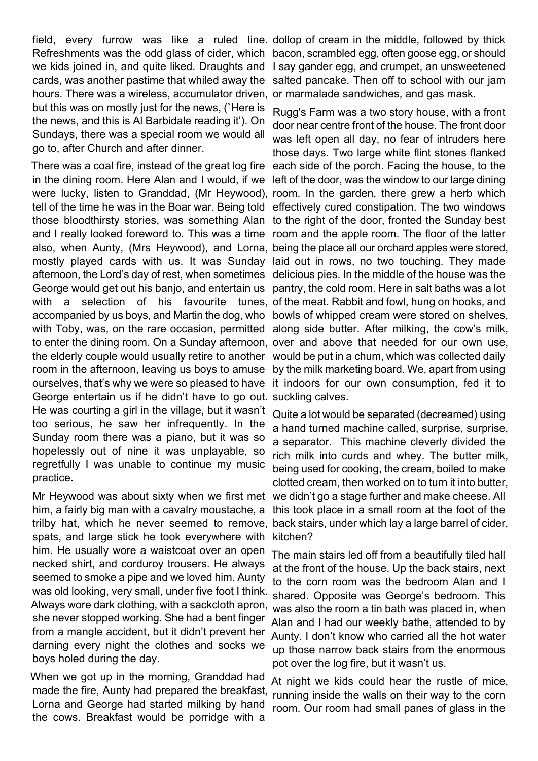field, every furrow was like a ruled line dollop of cream in the middle, followed by thick Refreshments was the odd glass of cider, which bacon, scrambled egg, often goose egg, or should we kids joined in, and quite liked. Draughts and I say gander egg, and crumpet, an unsweetened cards, was another pastime that whiled away the salted pancake. Then off to school with our jam hours. There was a wireless, accumulator driven, or marmalade sandwiches, and gas mask. but this was on mostly just for the news, (`Here is the news, and this is Al Barbidale reading it'). On Sundays, there was a special room we would all go to, after Church and after dinner.

There was a coal fire, instead of the great log fire each side of the porch. Facing the house, to the in the dining room. Here Alan and I would, if we left of the door, was the window to our large dining were lucky, listen to Granddad, (Mr Heywood), room. In the garden, there grew a herb which tell of the time he was in the Boar war. Being told effectively cured constipation. The two windows those bloodthirsty stories, was something Alan to the right of the door, fronted the Sunday best and I really looked foreword to. This was a time room and the apple room. The floor of the latter also, when Aunty, (Mrs Heywood), and Lorna, being the place all our orchard apples were stored, mostly played cards with us. It was Sunday laid out in rows, no two touching. They made afternoon, the Lord's day of rest, when sometimes delicious pies. In the middle of the house was the George would get out his banjo, and entertain us pantry, the cold room. Here in salt baths was a lot with a selection of his favourite tunes, of the meat. Rabbit and fowl, hung on hooks, and accompanied by us boys, and Martin the dog, who bowls of whipped cream were stored on shelves, with Toby, was, on the rare occasion, permitted along side butter. After milking, the cow's milk, to enter the dining room. On a Sunday afternoon, over and above that needed for our own use, the elderly couple would usually retire to another would be put in a chum, which was collected daily room in the afternoon, leaving us boys to amuse by the milk marketing board. We, apart from using ourselves, that's why we were so pleased to have it indoors for our own consumption, fed it to George entertain us if he didn't have to go out. suckling calves. He was courting a girl in the village, but it wasn't too serious, he saw her infrequently. In the Sunday room there was a piano, but it was so hopelessly out of nine it was unplayable, so regretfully I was unable to continue my music practice.

Mr Heywood was about sixty when we first met him, a fairly big man with a cavalry moustache, a spats, and large stick he took everywhere with him. He usually wore a waistcoat over an open necked shirt, and corduroy trousers. He always seemed to smoke a pipe and we loved him. Aunty was old looking, very small, under five foot I think. Always wore dark clothing, with a sackcloth apron, she never stopped working. She had a bent finger from a mangle accident, but it didn't prevent her darning every night the clothes and socks we boys holed during the day.

When we got up in the morning, Granddad had made the fire, Aunty had prepared the breakfast, Lorna and George had started milking by hand the cows. Breakfast would be porridge with a

Rugg's Farm was a two story house, with a front door near centre front of the house. The front door was left open all day, no fear of intruders here those days. Two large white flint stones flanked

trilby hat, which he never seemed to remove, back stairs, under which lay a large barrel of cider, Quite a lot would be separated (decreamed) using a hand turned machine called, surprise, surprise, a separator. This machine cleverly divided the rich milk into curds and whey. The butter milk, being used for cooking, the cream, boiled to make clotted cream, then worked on to turn it into butter, we didn't go a stage further and make cheese. All this took place in a small room at the foot of the kitchen?

> The main stairs led off from a beautifully tiled hall at the front of the house. Up the back stairs, next to the corn room was the bedroom Alan and I shared. Opposite was George's bedroom. This was also the room a tin bath was placed in, when Alan and I had our weekly bathe, attended to by Aunty. I don't know who carried all the hot water up those narrow back stairs from the enormous pot over the log fire, but it wasn't us.

> At night we kids could hear the rustle of mice, running inside the walls on their way to the corn room. Our room had small panes of glass in the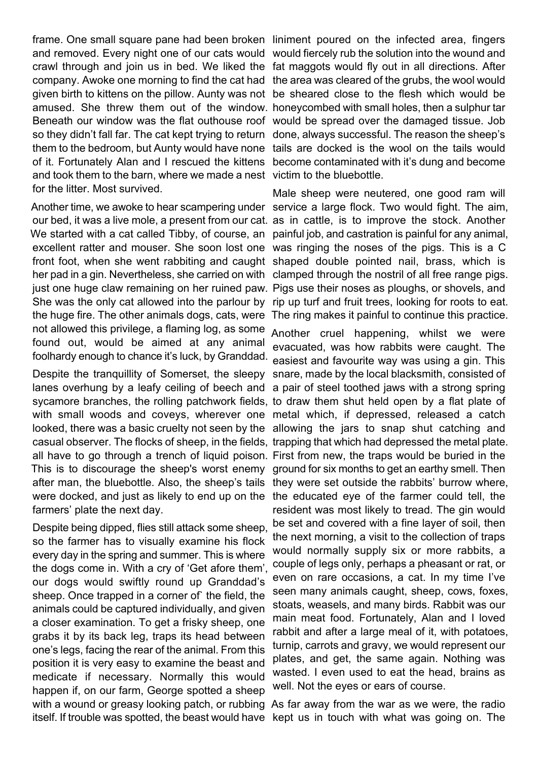frame. One small square pane had been broken liniment poured on the infected area, fingers and removed. Every night one of our cats would would fiercely rub the solution into the wound and crawl through and join us in bed. We liked the fat maggots would fly out in all directions. After company. Awoke one morning to find the cat had the area was cleared of the grubs, the wool would given birth to kittens on the pillow. Aunty was not be sheared close to the flesh which would be amused. She threw them out of the window. honeycombed with small holes, then a sulphur tar Beneath our window was the flat outhouse roof would be spread over the damaged tissue. Job so they didn't fall far. The cat kept trying to return done, always successful. The reason the sheep's them to the bedroom, but Aunty would have none tails are docked is the wool on the tails would of it. Fortunately Alan and I rescued the kittens become contaminated with it's dung and become and took them to the barn, where we made a nest victim to the bluebottle. for the litter. Most survived.

Another time, we awoke to hear scampering under service a large flock. Two would fight. The aim, our bed, it was a live mole, a present from our cat. as in cattle, is to improve the stock. Another We started with a cat called Tibby, of course, an painful job, and castration is painful for any animal, excellent ratter and mouser. She soon lost one was ringing the noses of the pigs. This is a C front foot, when she went rabbiting and caught shaped double pointed nail, brass, which is her pad in a gin. Nevertheless, she carried on with clamped through the nostril of all free range pigs. just one huge claw remaining on her ruined paw. Pigs use their noses as ploughs, or shovels, and She was the only cat allowed into the parlour by rip up turf and fruit trees, looking for roots to eat. the huge fire. The other animals dogs, cats, were The ring makes it painful to continue this practice. not allowed this privilege, a flaming log, as some found out, would be aimed at any animal foolhardy enough to chance it's luck, by Granddad.

Despite the tranquillity of Somerset, the sleepy snare, made by the local blacksmith, consisted of lanes overhung by a leafy ceiling of beech and a pair of steel toothed jaws with a strong spring sycamore branches, the rolling patchwork fields, to draw them shut held open by a flat plate of with small woods and coveys, wherever one metal which, if depressed, released a catch looked, there was a basic cruelty not seen by the allowing the jars to snap shut catching and casual observer. The flocks of sheep, in the fields, trapping that which had depressed the metal plate. all have to go through a trench of liquid poison. First from new, the traps would be buried in the This is to discourage the sheep's worst enemy ground for six months to get an earthy smell. Then after man, the bluebottle. Also, the sheep's tails they were set outside the rabbits' burrow where, were docked, and just as likely to end up on the farmers' plate the next day.

Despite being dipped, flies still attack some sheep, so the farmer has to visually examine his flock every day in the spring and summer. This is where the dogs come in. With a cry of 'Get afore them', our dogs would swiftly round up Granddad's sheep. Once trapped in a corner of` the field, the animals could be captured individually, and given a closer examination. To get a frisky sheep, one grabs it by its back leg, traps its head between one's legs, facing the rear of the animal. From this position it is very easy to examine the beast and medicate if necessary. Normally this would happen if, on our farm, George spotted a sheep with a wound or greasy looking patch, or rubbing As far away from the war as we were, the radio itself. If trouble was spotted, the beast would have kept us in touch with what was going on. The

Male sheep were neutered, one good ram will

Another cruel happening, whilst we were evacuated, was how rabbits were caught. The easiest and favourite way was using a gin. This the educated eye of the farmer could tell, the resident was most likely to tread. The gin would be set and covered with a fine layer of soil, then the next morning, a visit to the collection of traps would normally supply six or more rabbits, a couple of legs only, perhaps a pheasant or rat, or even on rare occasions, a cat. In my time I've seen many animals caught, sheep, cows, foxes, stoats, weasels, and many birds. Rabbit was our main meat food. Fortunately, Alan and I loved rabbit and after a large meal of it, with potatoes, turnip, carrots and gravy, we would represent our plates, and get, the same again. Nothing was wasted. I even used to eat the head, brains as well. Not the eyes or ears of course.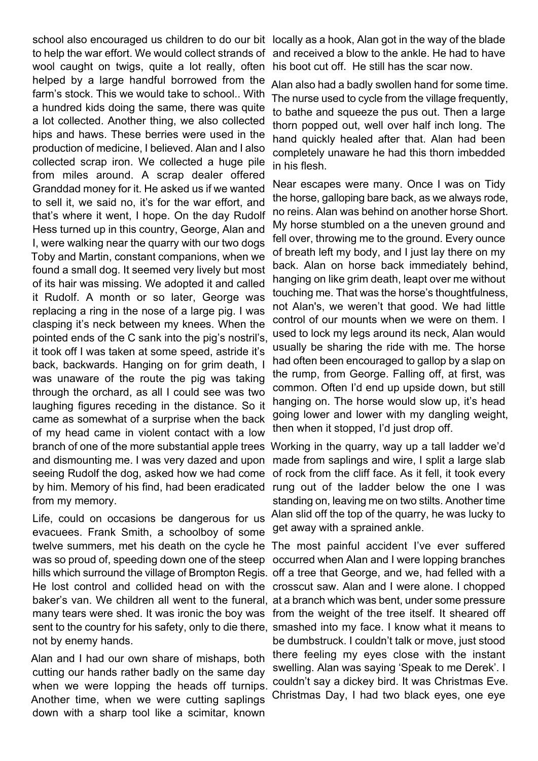school also encouraged us children to do our bit locally as a hook, Alan got in the way of the blade to help the war effort. We would collect strands of wool caught on twigs, quite a lot really, often helped by a large handful borrowed from the farm's stock. This we would take to school.. With a hundred kids doing the same, there was quite a lot collected. Another thing, we also collected hips and haws. These berries were used in the production of medicine, I believed. Alan and I also collected scrap iron. We collected a huge pile from miles around. A scrap dealer offered Granddad money for it. He asked us if we wanted to sell it, we said no, it's for the war effort, and that's where it went, I hope. On the day Rudolf Hess turned up in this country, George, Alan and I, were walking near the quarry with our two dogs Toby and Martin, constant companions, when we found a small dog. It seemed very lively but most of its hair was missing. We adopted it and called it Rudolf. A month or so later, George was replacing a ring in the nose of a large pig. I was clasping it's neck between my knees. When the pointed ends of the C sank into the pig's nostril's, it took off I was taken at some speed, astride it's back, backwards. Hanging on for grim death, I was unaware of the route the pig was taking through the orchard, as all I could see was two laughing figures receding in the distance. So it came as somewhat of a surprise when the back of my head came in violent contact with a low branch of one of the more substantial apple trees and dismounting me. I was very dazed and upon seeing Rudolf the dog, asked how we had come by him. Memory of his find, had been eradicated from my memory.

Life, could on occasions be dangerous for us evacuees. Frank Smith, a schoolboy of some twelve summers, met his death on the cycle he The most painful accident I've ever suffered was so proud of, speeding down one of the steep hills which surround the village of Brompton Regis. off a tree that George, and we, had felled with a He lost control and collided head on with the crosscut saw. Alan and I were alone. I chopped baker's van. We children all went to the funeral, at a branch which was bent, under some pressure many tears were shed. It was ironic the boy was from the weight of the tree itself. It sheared off sent to the country for his safety, only to die there, smashed into my face. I know what it means to not by enemy hands.

Alan and I had our own share of mishaps, both cutting our hands rather badly on the same day when we were lopping the heads off turnips. Another time, when we were cutting saplings down with a sharp tool like a scimitar, known

and received a blow to the ankle. He had to have his boot cut off. He still has the scar now.

Alan also had a badly swollen hand for some time. The nurse used to cycle from the village frequently, to bathe and squeeze the pus out. Then a large thorn popped out, well over half inch long. The hand quickly healed after that. Alan had been completely unaware he had this thorn imbedded in his flesh.

Near escapes were many. Once I was on Tidy the horse, galloping bare back, as we always rode, no reins. Alan was behind on another horse Short. My horse stumbled on a the uneven ground and fell over, throwing me to the ground. Every ounce of breath left my body, and I just lay there on my back. Alan on horse back immediately behind, hanging on like grim death, leapt over me without touching me. That was the horse's thoughtfulness, not Alan's, we weren't that good. We had little control of our mounts when we were on them. I used to lock my legs around its neck, Alan would usually be sharing the ride with me. The horse had often been encouraged to gallop by a slap on the rump, from George. Falling off, at first, was common. Often I'd end up upside down, but still hanging on. The horse would slow up, it's head going lower and lower with my dangling weight, then when it stopped, I'd just drop off.

Working in the quarry, way up a tall ladder we'd made from saplings and wire. I split a large slab of rock from the cliff face. As it fell, it took every rung out of the ladder below the one I was standing on, leaving me on two stilts. Another time Alan slid off the top of the quarry, he was lucky to get away with a sprained ankle.

occurred when Alan and I were lopping branches be dumbstruck. I couldn't talk or move, just stood there feeling my eyes close with the instant swelling. Alan was saying 'Speak to me Derek'. I couldn't say a dickey bird. It was Christmas Eve. Christmas Day, I had two black eyes, one eye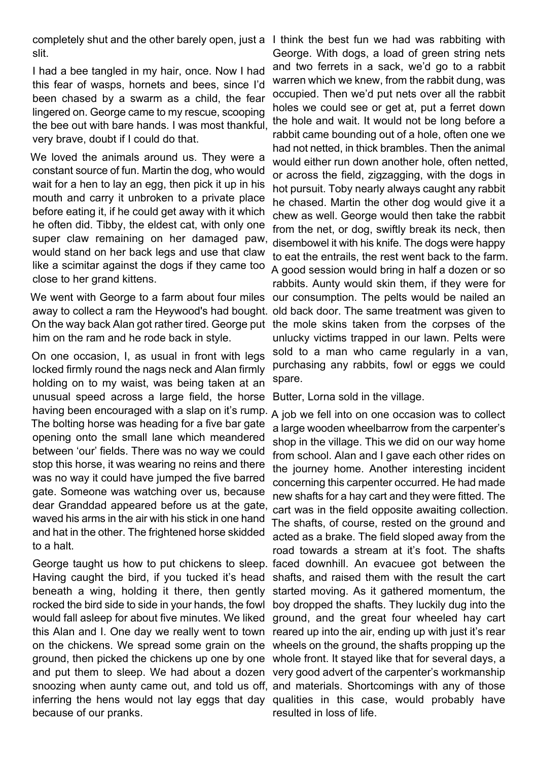completely shut and the other barely open, just a I think the best fun we had was rabbiting with slit.

I had a bee tangled in my hair, once. Now I had this fear of wasps, hornets and bees, since I'd been chased by a swarm as a child, the fear lingered on. George came to my rescue, scooping the bee out with bare hands. I was most thankful, very brave, doubt if I could do that.

We loved the animals around us. They were a constant source of fun. Martin the dog, who would wait for a hen to lay an egg, then pick it up in his mouth and carry it unbroken to a private place before eating it, if he could get away with it which he often did. Tibby, the eldest cat, with only one super claw remaining on her damaged paw, would stand on her back legs and use that claw like a scimitar against the dogs if they came too close to her grand kittens.

We went with George to a farm about four miles our consumption. The pelts would be nailed an away to collect a ram the Heywood's had bought. old back door. The same treatment was given to On the way back Alan got rather tired. George put him on the ram and he rode back in style.

On one occasion, I, as usual in front with legs locked firmly round the nags neck and Alan firmly holding on to my waist, was being taken at an unusual speed across a large field, the horse having been encouraged with a slap on it's rump. The bolting horse was heading for a five bar gate opening onto the small lane which meandered between 'our' fields. There was no way we could stop this horse, it was wearing no reins and there was no way it could have jumped the five barred gate. Someone was watching over us, because dear Granddad appeared before us at the gate, waved his arms in the air with his stick in one hand and hat in the other. The frightened horse skidded to a halt.

George taught us how to put chickens to sleep. faced downhill. An evacuee got between the Having caught the bird, if you tucked it's head beneath a wing, holding it there, then gently rocked the bird side to side in your hands, the fowl would fall asleep for about five minutes. We liked this Alan and I. One day we really went to town on the chickens. We spread some grain on the ground, then picked the chickens up one by one whole front. It stayed like that for several days, a and put them to sleep. We had about a dozen very good advert of the carpenter's workmanship snoozing when aunty came out, and told us off, and materials. Shortcomings with any of those inferring the hens would not lay eggs that day qualities in this case, would probably have because of our pranks.

George. With dogs, a load of green string nets and two ferrets in a sack, we'd go to a rabbit warren which we knew, from the rabbit dung, was occupied. Then we'd put nets over all the rabbit holes we could see or get at, put a ferret down the hole and wait. It would not be long before a rabbit came bounding out of a hole, often one we had not netted, in thick brambles. Then the animal would either run down another hole, often netted, or across the field, zigzagging, with the dogs in hot pursuit. Toby nearly always caught any rabbit he chased. Martin the other dog would give it a chew as well. George would then take the rabbit from the net, or dog, swiftly break its neck, then disembowel it with his knife. The dogs were happy to eat the entrails, the rest went back to the farm. A good session would bring in half a dozen or so rabbits. Aunty would skin them, if they were for the mole skins taken from the corpses of the unlucky victims trapped in our lawn. Pelts were sold to a man who came regularly in a van, purchasing any rabbits, fowl or eggs we could spare.

Butter, Lorna sold in the village.

A job we fell into on one occasion was to collect a large wooden wheelbarrow from the carpenter's shop in the village. This we did on our way home from school. Alan and I gave each other rides on the journey home. Another interesting incident concerning this carpenter occurred. He had made new shafts for a hay cart and they were fitted. The cart was in the field opposite awaiting collection. The shafts, of course, rested on the ground and acted as a brake. The field sloped away from the road towards a stream at it's foot. The shafts shafts, and raised them with the result the cart started moving. As it gathered momentum, the boy dropped the shafts. They luckily dug into the ground, and the great four wheeled hay cart reared up into the air, ending up with just it's rear wheels on the ground, the shafts propping up the resulted in loss of life.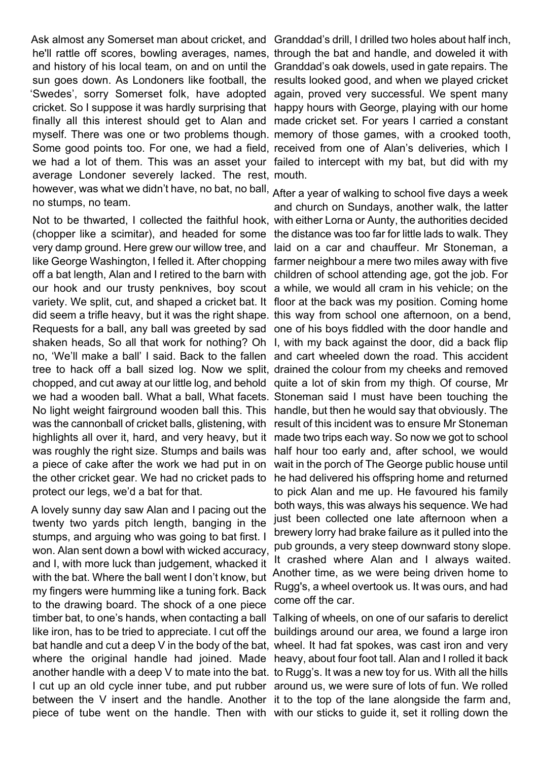Ask almost any Somerset man about cricket, and Granddad's drill, I drilled two holes about half inch, he'll rattle off scores, bowling averages, names, through the bat and handle, and doweled it with and history of his local team, on and on until the Granddad's oak dowels, used in gate repairs. The sun goes down. As Londoners like football, the results looked good, and when we played cricket 'Swedes', sorry Somerset folk, have adopted again, proved very successful. We spent many cricket. So I suppose it was hardly surprising that happy hours with George, playing with our home finally all this interest should get to Alan and made cricket set. For years I carried a constant myself. There was one or two problems though. memory of those games, with a crooked tooth, Some good points too. For one, we had a field, received from one of Alan's deliveries, which I we had a lot of them. This was an asset your failed to intercept with my bat, but did with my average Londoner severely lacked. The rest, mouth. however, was what we didn't have, no bat, no ball, After a year of walking to school five days a week no stumps, no team.

Not to be thwarted, I collected the faithful hook, with either Lorna or Aunty, the authorities decided (chopper like a scimitar), and headed for some the distance was too far for little lads to walk. They very damp ground. Here grew our willow tree, and laid on a car and chauffeur. Mr Stoneman, a like George Washington, I felled it. After chopping farmer neighbour a mere two miles away with five off a bat length, Alan and I retired to the barn with children of school attending age, got the job. For our hook and our trusty penknives, boy scout a while, we would all cram in his vehicle; on the variety. We split, cut, and shaped a cricket bat. It floor at the back was my position. Coming home did seem a trifle heavy, but it was the right shape. this way from school one afternoon, on a bend, Requests for a ball, any ball was greeted by sad one of his boys fiddled with the door handle and shaken heads, So all that work for nothing? Oh I, with my back against the door, did a back flip no, 'We'll make a ball' I said. Back to the fallen and cart wheeled down the road. This accident tree to hack off a ball sized log. Now we split, drained the colour from my cheeks and removed chopped, and cut away at our little log, and behold quite a lot of skin from my thigh. Of course, Mr we had a wooden ball. What a ball, What facets. Stoneman said I must have been touching the No light weight fairground wooden ball this. This handle, but then he would say that obviously. The was the cannonball of cricket balls, glistening, with result of this incident was to ensure Mr Stoneman highlights all over it, hard, and very heavy, but it made two trips each way. So now we got to school was roughly the right size. Stumps and bails was a piece of cake after the work we had put in on the other cricket gear. We had no cricket pads to protect our legs, we'd a bat for that.

A lovely sunny day saw Alan and I pacing out the twenty two yards pitch length, banging in the stumps, and arguing who was going to bat first. I won. Alan sent down a bowl with wicked accuracy, and I, with more luck than judgement, whacked it with the bat. Where the ball went I don't know, but my fingers were humming like a tuning fork. Back to the drawing board. The shock of a one piece timber bat, to one's hands, when contacting a ball Talking of wheels, on one of our safaris to derelict like iron, has to be tried to appreciate. I cut off the buildings around our area, we found a large iron bat handle and cut a deep V in the body of the bat, wheel. It had fat spokes, was cast iron and very where the original handle had joined. Made heavy, about four foot tall. Alan and I rolled it back another handle with a deep V to mate into the bat. to Rugg's. It was a new toy for us. With all the hills I cut up an old cycle inner tube, and put rubber around us, we were sure of lots of fun. We rolled between the V insert and the handle. Another it to the top of the lane alongside the farm and, piece of tube went on the handle. Then with with our sticks to guide it, set it rolling down the

and church on Sundays, another walk, the latter half hour too early and, after school, we would wait in the porch of The George public house until he had delivered his offspring home and returned to pick Alan and me up. He favoured his family both ways, this was always his sequence. We had just been collected one late afternoon when a brewery lorry had brake failure as it pulled into the pub grounds, a very steep downward stony slope. It crashed where Alan and I always waited. Another time, as we were being driven home to Rugg's, a wheel overtook us. It was ours, and had come off the car.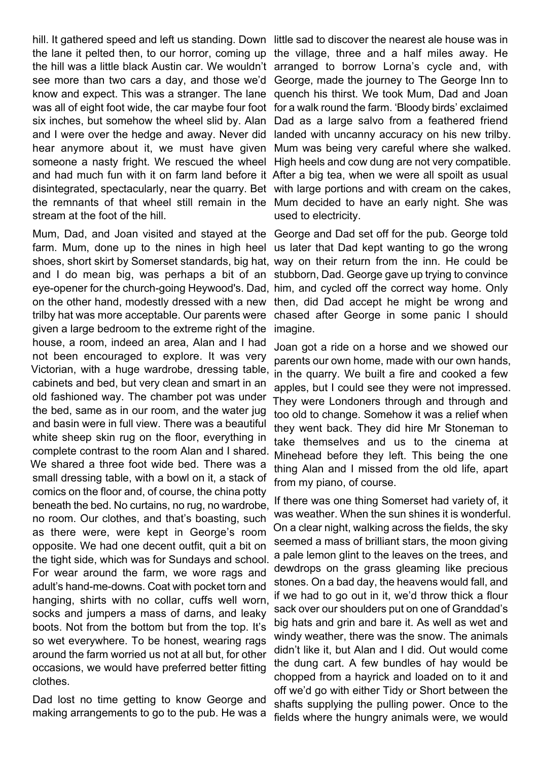hill. It gathered speed and left us standing. Down little sad to discover the nearest ale house was in the lane it pelted then, to our horror, coming up the village, three and a half miles away. He the hill was a little black Austin car. We wouldn't arranged to borrow Lorna's cycle and, with see more than two cars a day, and those we'd George, made the journey to The George Inn to know and expect. This was a stranger. The lane quench his thirst. We took Mum, Dad and Joan was all of eight foot wide, the car maybe four foot for a walk round the farm. 'Bloody birds' exclaimed six inches, but somehow the wheel slid by. Alan Dad as a large salvo from a feathered friend and I were over the hedge and away. Never did landed with uncanny accuracy on his new trilby. hear anymore about it, we must have given Mum was being very careful where she walked. someone a nasty fright. We rescued the wheel High heels and cow dung are not very compatible. and had much fun with it on farm land before it After a big tea, when we were all spoilt as usual disintegrated, spectacularly, near the quarry. Bet with large portions and with cream on the cakes, the remnants of that wheel still remain in the Mum decided to have an early night. She was stream at the foot of the hill.

farm. Mum, done up to the nines in high heel us later that Dad kept wanting to go the wrong shoes, short skirt by Somerset standards, big hat, way on their return from the inn. He could be and I do mean big, was perhaps a bit of an stubborn, Dad. George gave up trying to convince eye-opener for the church-going Heywood's. Dad, him, and cycled off the correct way home. Only on the other hand, modestly dressed with a new then, did Dad accept he might be wrong and trilby hat was more acceptable. Our parents were given a large bedroom to the extreme right of the house, a room, indeed an area, Alan and I had not been encouraged to explore. It was very Victorian, with a huge wardrobe, dressing table, cabinets and bed, but very clean and smart in an old fashioned way. The chamber pot was under the bed, same as in our room, and the water jug and basin were in full view. There was a beautiful white sheep skin rug on the floor, everything in complete contrast to the room Alan and I shared. We shared a three foot wide bed. There was a small dressing table, with a bowl on it, a stack of comics on the floor and, of course, the china potty beneath the bed. No curtains, no rug, no wardrobe, no room. Our clothes, and that's boasting, such as there were, were kept in George's room opposite. We had one decent outfit, quit a bit on the tight side, which was for Sundays and school. For wear around the farm, we wore rags and adult's hand-me-downs. Coat with pocket torn and hanging, shirts with no collar, cuffs well worn, socks and jumpers a mass of darns, and leaky boots. Not from the bottom but from the top. It's so wet everywhere. To be honest, wearing rags around the farm worried us not at all but, for other occasions, we would have preferred better fitting clothes.

Dad lost no time getting to know George and making arrangements to go to the pub. He was a

used to electricity.

Mum, Dad, and Joan visited and stayed at the George and Dad set off for the pub. George told chased after George in some panic I should imagine.

> Joan got a ride on a horse and we showed our parents our own home, made with our own hands, in the quarry. We built a fire and cooked a few apples, but I could see they were not impressed. They were Londoners through and through and too old to change. Somehow it was a relief when they went back. They did hire Mr Stoneman to take themselves and us to the cinema at Minehead before they left. This being the one thing Alan and I missed from the old life, apart from my piano, of course.

> If there was one thing Somerset had variety of, it was weather. When the sun shines it is wonderful. On a clear night, walking across the fields, the sky seemed a mass of brilliant stars, the moon giving a pale lemon glint to the leaves on the trees, and dewdrops on the grass gleaming like precious stones. On a bad day, the heavens would fall, and if we had to go out in it, we'd throw thick a flour sack over our shoulders put on one of Granddad's big hats and grin and bare it. As well as wet and windy weather, there was the snow. The animals didn't like it, but Alan and I did. Out would come the dung cart. A few bundles of hay would be chopped from a hayrick and loaded on to it and off we'd go with either Tidy or Short between the shafts supplying the pulling power. Once to the fields where the hungry animals were, we would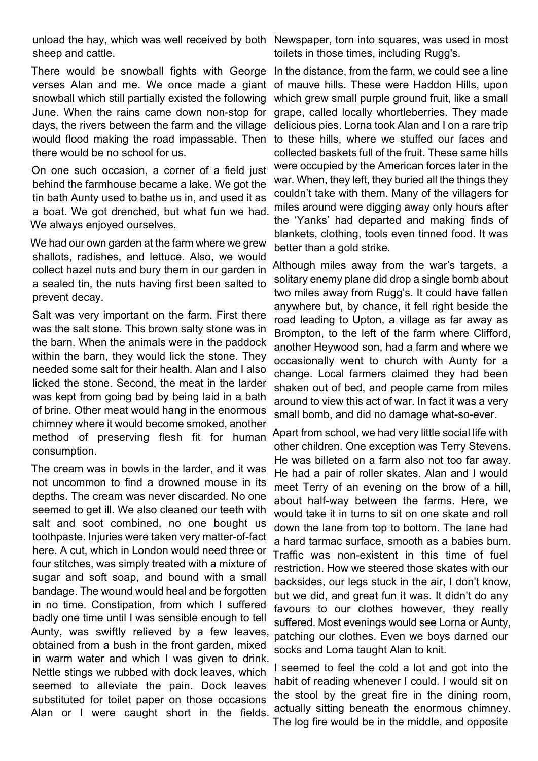unload the hay, which was well received by both Newspaper, torn into squares, was used in most sheep and cattle.

There would be snowball fights with George In the distance, from the farm, we could see a line verses Alan and me. We once made a giant of mauve hills. These were Haddon Hills, upon snowball which still partially existed the following June. When the rains came down non-stop for days, the rivers between the farm and the village would flood making the road impassable. Then there would be no school for us.

On one such occasion, a corner of a field just behind the farmhouse became a lake. We got the tin bath Aunty used to bathe us in, and used it as a boat. We got drenched, but what fun we had. We always enjoyed ourselves.

We had our own garden at the farm where we grew shallots, radishes, and lettuce. Also, we would collect hazel nuts and bury them in our garden in a sealed tin, the nuts having first been salted to prevent decay.

Salt was very important on the farm. First there was the salt stone. This brown salty stone was in the barn. When the animals were in the paddock within the barn, they would lick the stone. They needed some salt for their health. Alan and I also licked the stone. Second, the meat in the larder was kept from going bad by being laid in a bath of brine. Other meat would hang in the enormous chimney where it would become smoked, another method of preserving flesh fit for human consumption.

The cream was in bowls in the larder, and it was not uncommon to find a drowned mouse in its depths. The cream was never discarded. No one seemed to get ill. We also cleaned our teeth with salt and soot combined, no one bought us toothpaste. Injuries were taken very matter-of-fact here. A cut, which in London would need three or four stitches, was simply treated with a mixture of sugar and soft soap, and bound with a small bandage. The wound would heal and be forgotten in no time. Constipation, from which I suffered badly one time until I was sensible enough to tell Aunty, was swiftly relieved by a few leaves, obtained from a bush in the front garden, mixed in warm water and which I was given to drink. Nettle stings we rubbed with dock leaves, which seemed to alleviate the pain. Dock leaves substituted for toilet paper on those occasions Alan or I were caught short in the fields.

toilets in those times, including Rugg's.

which grew small purple ground fruit, like a small grape, called locally whortleberries. They made delicious pies. Lorna took Alan and I on a rare trip to these hills, where we stuffed our faces and collected baskets full of the fruit. These same hills were occupied by the American forces later in the war. When, they left, they buried all the things they couldn't take with them. Many of the villagers for miles around were digging away only hours after the 'Yanks' had departed and making finds of blankets, clothing, tools even tinned food. It was better than a gold strike.

Although miles away from the war's targets, a solitary enemy plane did drop a single bomb about two miles away from Rugg's. It could have fallen anywhere but, by chance, it fell right beside the road leading to Upton, a village as far away as Brompton, to the left of the farm where Clifford, another Heywood son, had a farm and where we occasionally went to church with Aunty for a change. Local farmers claimed they had been shaken out of bed, and people came from miles around to view this act of war. In fact it was a very small bomb, and did no damage what-so-ever.

Apart from school, we had very little social life with other children. One exception was Terry Stevens. He was billeted on a farm also not too far away. He had a pair of roller skates. Alan and I would meet Terry of an evening on the brow of a hill, about half-way between the farms. Here, we would take it in turns to sit on one skate and roll down the lane from top to bottom. The lane had a hard tarmac surface, smooth as a babies bum. Traffic was non-existent in this time of fuel restriction. How we steered those skates with our backsides, our legs stuck in the air, I don't know, but we did, and great fun it was. It didn't do any favours to our clothes however, they really suffered. Most evenings would see Lorna or Aunty, patching our clothes. Even we boys darned our socks and Lorna taught Alan to knit.

I seemed to feel the cold a lot and got into the habit of reading whenever I could. I would sit on the stool by the great fire in the dining room, actually sitting beneath the enormous chimney. The log fire would be in the middle, and opposite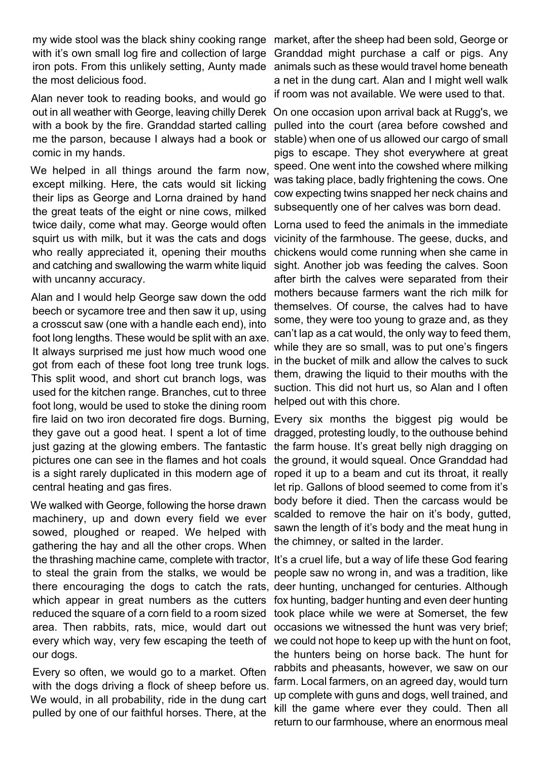my wide stool was the black shiny cooking range market, after the sheep had been sold, George or with it's own small log fire and collection of large iron pots. From this unlikely setting, Aunty made animals such as these would travel home beneath the most delicious food.

Alan never took to reading books, and would go out in all weather with George, leaving chilly Derek with a book by the fire. Granddad started calling me the parson, because I always had a book or comic in my hands.

We helped in all things around the farm now, except milking. Here, the cats would sit licking their lips as George and Lorna drained by hand the great teats of the eight or nine cows, milked twice daily, come what may. George would often squirt us with milk, but it was the cats and dogs who really appreciated it, opening their mouths and catching and swallowing the warm white liquid with uncanny accuracy.

Alan and I would help George saw down the odd beech or sycamore tree and then saw it up, using a crosscut saw (one with a handle each end), into foot long lengths. These would be split with an axe. It always surprised me just how much wood one got from each of these foot long tree trunk logs. This split wood, and short cut branch logs, was used for the kitchen range. Branches, cut to three foot long, would be used to stoke the dining room fire laid on two iron decorated fire dogs. Burning, Every six months the biggest pig would be they gave out a good heat. I spent a lot of time just gazing at the glowing embers. The fantastic pictures one can see in the flames and hot coals is a sight rarely duplicated in this modern age of central heating and gas fires.

We walked with George, following the horse drawn machinery, up and down every field we ever sowed, ploughed or reaped. We helped with gathering the hay and all the other crops. When the thrashing machine came, complete with tractor, It's a cruel life, but a way of life these God fearing to steal the grain from the stalks, we would be there encouraging the dogs to catch the rats, deer hunting, unchanged for centuries. Although which appear in great numbers as the cutters reduced the square of a corn field to a room sized area. Then rabbits, rats, mice, would dart out every which way, very few escaping the teeth of our dogs.

Every so often, we would go to a market. Often with the dogs driving a flock of sheep before us. We would, in all probability, ride in the dung cart pulled by one of our faithful horses. There, at the

Granddad might purchase a calf or pigs. Any a net in the dung cart. Alan and I might well walk if room was not available. We were used to that.

On one occasion upon arrival back at Rugg's, we pulled into the court (area before cowshed and stable) when one of us allowed our cargo of small pigs to escape. They shot everywhere at great speed. One went into the cowshed where milking was taking place, badly frightening the cows. One cow expecting twins snapped her neck chains and subsequently one of her calves was born dead.

Lorna used to feed the animals in the immediate vicinity of the farmhouse. The geese, ducks, and chickens would come running when she came in sight. Another job was feeding the calves. Soon after birth the calves were separated from their mothers because farmers want the rich milk for themselves. Of course, the calves had to have some, they were too young to graze and, as they can't lap as a cat would, the only way to feed them, while they are so small, was to put one's fingers in the bucket of milk and allow the calves to suck them, drawing the liquid to their mouths with the suction. This did not hurt us, so Alan and I often helped out with this chore.

dragged, protesting loudly, to the outhouse behind the farm house. It's great belly nigh dragging on the ground, it would squeal. Once Granddad had roped it up to a beam and cut its throat, it really let rip. Gallons of blood seemed to come from it's body before it died. Then the carcass would be scalded to remove the hair on it's body, gutted. sawn the length of it's body and the meat hung in the chimney, or salted in the larder.

people saw no wrong in, and was a tradition, like fox hunting, badger hunting and even deer hunting took place while we were at Somerset, the few occasions we witnessed the hunt was very brief; we could not hope to keep up with the hunt on foot, the hunters being on horse back. The hunt for rabbits and pheasants, however, we saw on our farm. Local farmers, on an agreed day, would turn up complete with guns and dogs, well trained, and kill the game where ever they could. Then all return to our farmhouse, where an enormous meal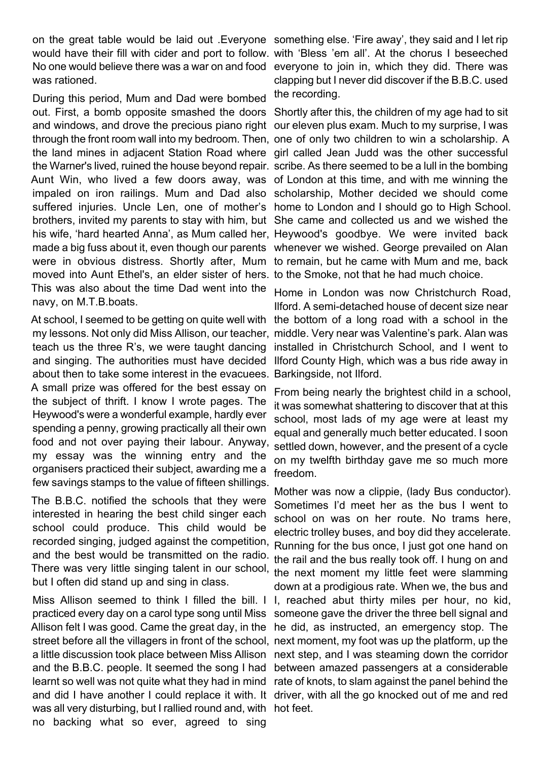on the great table would be laid out .Everyone something else. 'Fire away', they said and I let rip would have their fill with cider and port to follow. with 'Bless 'em all'. At the chorus I beseeched No one would believe there was a war on and food everyone to join in, which they did. There was was rationed.

During this period, Mum and Dad were bombed out. First, a bomb opposite smashed the doors Shortly after this, the children of my age had to sit and windows, and drove the precious piano right our eleven plus exam. Much to my surprise, I was through the front room wall into my bedroom. Then, one of only two children to win a scholarship. A the land mines in adjacent Station Road where girl called Jean Judd was the other successful the Warner's lived, ruined the house beyond repair. scribe. As there seemed to be a lull in the bombing Aunt Win, who lived a few doors away, was of London at this time, and with me winning the impaled on iron railings. Mum and Dad also scholarship, Mother decided we should come suffered injuries. Uncle Len, one of mother's home to London and I should go to High School. brothers, invited my parents to stay with him, but She came and collected us and we wished the his wife, 'hard hearted Anna', as Mum called her, Heywood's goodbye. We were invited back made a big fuss about it, even though our parents whenever we wished. George prevailed on Alan were in obvious distress. Shortly after, Mum to remain, but he came with Mum and me, back moved into Aunt Ethel's, an elder sister of hers. to the Smoke, not that he had much choice. This was also about the time Dad went into the navy, on M.T.B.boats.

At school, I seemed to be getting on quite well with the bottom of a long road with a school in the my lessons. Not only did Miss Allison, our teacher, middle. Very near was Valentine's park. Alan was teach us the three R's, we were taught dancing and singing. The authorities must have decided Ilford County High, which was a bus ride away in about then to take some interest in the evacuees. Barkingside, not Ilford. A small prize was offered for the best essay on the subject of thrift. I know I wrote pages. The Heywood's were a wonderful example, hardly ever spending a penny, growing practically all their own food and not over paying their labour. Anyway, my essay was the winning entry and the organisers practiced their subject, awarding me a few savings stamps to the value of fifteen shillings.

The B.B.C. notified the schools that they were interested in hearing the best child singer each school could produce. This child would be recorded singing, judged against the competition, and the best would be transmitted on the radio. There was very little singing talent in our school, but I often did stand up and sing in class.

Miss Allison seemed to think I filled the bill. I practiced every day on a carol type song until Miss Allison felt I was good. Came the great day, in the he did, as instructed, an emergency stop. The street before all the villagers in front of the school, next moment, my foot was up the platform, up the a little discussion took place between Miss Allison next step, and I was steaming down the corridor and the B.B.C. people. It seemed the song I had between amazed passengers at a considerable learnt so well was not quite what they had in mind rate of knots, to slam against the panel behind the and did I have another I could replace it with. It driver, with all the go knocked out of me and red was all very disturbing, but I rallied round and, with hot feet.no backing what so ever, agreed to sing

clapping but I never did discover if the B.B.C. used the recording.

Home in London was now Christchurch Road, Ilford. A semi-detached house of decent size near installed in Christchurch School, and I went to

From being nearly the brightest child in a school, it was somewhat shattering to discover that at this school, most lads of my age were at least my equal and generally much better educated. I soon settled down, however, and the present of a cycle on my twelfth birthday gave me so much more freedom.

Mother was now a clippie, (lady Bus conductor). Sometimes I'd meet her as the bus I went to school on was on her route. No trams here, electric trolley buses, and boy did they accelerate. Running for the bus once, I just got one hand on the rail and the bus really took off. I hung on and the next moment my little feet were slamming down at a prodigious rate. When we, the bus and I, reached abut thirty miles per hour, no kid, someone gave the driver the three bell signal and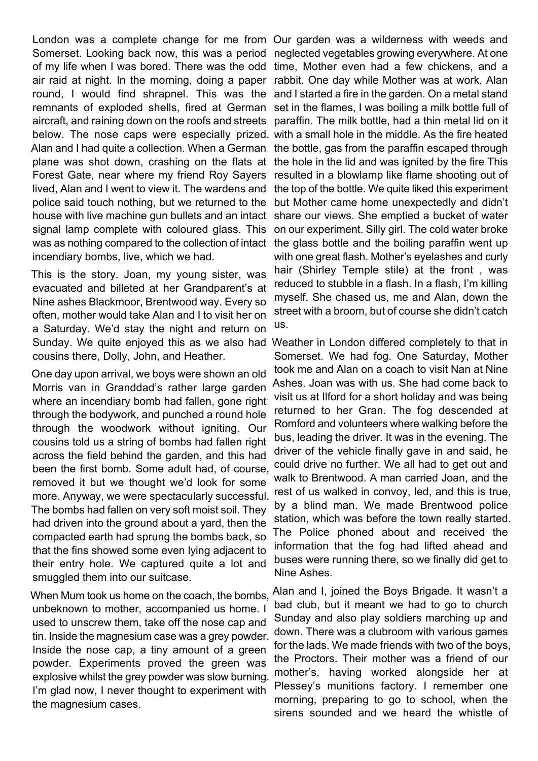London was a complete change for me from Our garden was a wilderness with weeds and Somerset. Looking back now, this was a period neglected vegetables growing everywhere. At one of my life when I was bored. There was the odd time, Mother even had a few chickens, and a air raid at night. In the morning, doing a paper rabbit. One day while Mother was at work, Alan round, I would find shrapnel. This was the remnants of exploded shells, fired at German aircraft, and raining down on the roofs and streets below. The nose caps were especially prized. with a small hole in the middle. As the fire heated Alan and I had quite a collection. When a German plane was shot down, crashing on the flats at Forest Gate, near where my friend Roy Sayers lived, Alan and I went to view it. The wardens and police said touch nothing, but we returned to the house with live machine gun bullets and an intact signal lamp complete with coloured glass. This was as nothing compared to the collection of intact incendiary bombs, live, which we had.

This is the story. Joan, my young sister, was evacuated and billeted at her Grandparent's at Nine ashes Blackmoor, Brentwood way. Every so often, mother would take Alan and I to visit her on a Saturday. We'd stay the night and return on Sunday. We quite enjoyed this as we also had Weather in London differed completely to that in cousins there, Dolly, John, and Heather.

One day upon arrival, we boys were shown an old Morris van in Granddad's rather large garden where an incendiary bomb had fallen, gone right through the bodywork, and punched a round hole through the woodwork without igniting. Our cousins told us a string of bombs had fallen right across the field behind the garden, and this had been the first bomb. Some adult had, of course, removed it but we thought we'd look for some more. Anyway, we were spectacularly successful. The bombs had fallen on very soft moist soil. They had driven into the ground about a yard, then the compacted earth had sprung the bombs back, so that the fins showed some even lying adjacent to their entry hole. We captured quite a lot and smuggled them into our suitcase.

When Mum took us home on the coach, the bombs, unbeknown to mother, accompanied us home. I used to unscrew them, take off the nose cap and tin. Inside the magnesium case was a grey powder. Inside the nose cap, a tiny amount of a green powder. Experiments proved the green was explosive whilst the grey powder was slow burning. I'm glad now, I never thought to experiment with the magnesium cases.

and I started a fire in the garden. On a metal stand set in the flames, I was boiling a milk bottle full of paraffin. The milk bottle, had a thin metal lid on it the bottle, gas from the paraffin escaped through the hole in the lid and was ignited by the fire This resulted in a blowlamp like flame shooting out of the top of the bottle. We quite liked this experiment but Mother came home unexpectedly and didn't share our views. She emptied a bucket of water on our experiment. Silly girl. The cold water broke the glass bottle and the boiling paraffin went up with one great flash. Mother's eyelashes and curly hair (Shirley Temple stile) at the front , was reduced to stubble in a flash. In a flash, I'm killing myself. She chased us, me and Alan, down the street with a broom, but of course she didn't catch us.

Somerset. We had fog. One Saturday, Mother took me and Alan on a coach to visit Nan at Nine Ashes. Joan was with us. She had come back to visit us at Ilford for a short holiday and was being returned to her Gran. The fog descended at Romford and volunteers where walking before the bus, leading the driver. It was in the evening. The driver of the vehicle finally gave in and said, he could drive no further. We all had to get out and walk to Brentwood. A man carried Joan, and the rest of us walked in convoy, led, and this is true, by a blind man. We made Brentwood police station, which was before the town really started. The Police phoned about and received the information that the fog had lifted ahead and buses were running there, so we finally did get to Nine Ashes.

Alan and I, joined the Boys Brigade. It wasn't a bad club, but it meant we had to go to church Sunday and also play soldiers marching up and down. There was a clubroom with various games for the lads. We made friends with two of the boys, the Proctors. Their mother was a friend of our mother's, having worked alongside her at Plessey's munitions factory. I remember one morning, preparing to go to school, when the sirens sounded and we heard the whistle of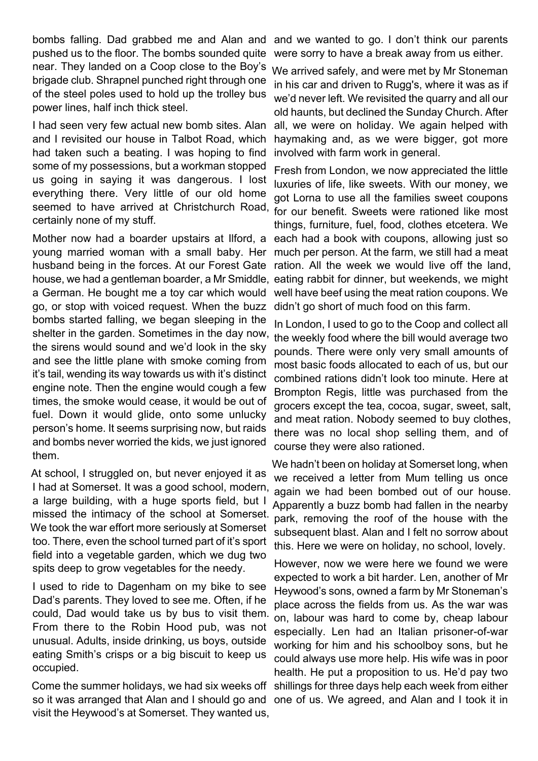bombs falling. Dad grabbed me and Alan and and we wanted to go. I don't think our parents pushed us to the floor. The bombs sounded quite near. They landed on a Coop close to the Boy's brigade club. Shrapnel punched right through one of the steel poles used to hold up the trolley bus power lines, half inch thick steel.

I had seen very few actual new bomb sites. Alan all, we were on holiday. We again helped with and I revisited our house in Talbot Road, which had taken such a beating. I was hoping to find some of my possessions, but a workman stopped us going in saying it was dangerous. I lost everything there. Very little of our old home seemed to have arrived at Christchurch Road, for our benefit. Sweets were rationed like most certainly none of my stuff.

Mother now had a boarder upstairs at Ilford, a each had a book with coupons, allowing just so young married woman with a small baby. Her husband being in the forces. At our Forest Gate house, we had a gentleman boarder, a Mr Smiddle, eating rabbit for dinner, but weekends, we might a German. He bought me a toy car which would go, or stop with voiced request. When the buzz bombs started falling, we began sleeping in the shelter in the garden. Sometimes in the day now, the sirens would sound and we'd look in the sky and see the little plane with smoke coming from it's tail, wending its way towards us with it's distinct engine note. Then the engine would cough a few times, the smoke would cease, it would be out of fuel. Down it would glide, onto some unlucky person's home. It seems surprising now, but raids and bombs never worried the kids, we just ignored them.

At school, I struggled on, but never enjoyed it as I had at Somerset. It was a good school, modern, a large building, with a huge sports field, but I missed the intimacy of the school at Somerset. We took the war effort more seriously at Somerset too. There, even the school turned part of it's sport field into a vegetable garden, which we dug two spits deep to grow vegetables for the needy.

I used to ride to Dagenham on my bike to see Dad's parents. They loved to see me. Often, if he could, Dad would take us by bus to visit them. From there to the Robin Hood pub, was not unusual. Adults, inside drinking, us boys, outside eating Smith's crisps or a big biscuit to keep us occupied.

Come the summer holidays, we had six weeks off so it was arranged that Alan and I should go and visit the Heywood's at Somerset. They wanted us,

were sorry to have a break away from us either.

We arrived safely, and were met by Mr Stoneman in his car and driven to Rugg's, where it was as if we'd never left. We revisited the quarry and all our old haunts, but declined the Sunday Church. After haymaking and, as we were bigger, got more involved with farm work in general.

Fresh from London, we now appreciated the little luxuries of life, like sweets. With our money, we got Lorna to use all the families sweet coupons things, furniture, fuel, food, clothes etcetera. We much per person. At the farm, we still had a meat ration. All the week we would live off the land, well have beef using the meat ration coupons. We didn't go short of much food on this farm.

In London, I used to go to the Coop and collect all the weekly food where the bill would average two pounds. There were only very small amounts of most basic foods allocated to each of us, but our combined rations didn't look too minute. Here at Brompton Regis, little was purchased from the grocers except the tea, cocoa, sugar, sweet, salt, and meat ration. Nobody seemed to buy clothes, there was no local shop selling them, and of course they were also rationed.

We hadn't been on holiday at Somerset long, when we received a letter from Mum telling us once again we had been bombed out of our house. Apparently a buzz bomb had fallen in the nearby park, removing the roof of the house with the subsequent blast. Alan and I felt no sorrow about this. Here we were on holiday, no school, lovely.

However, now we were here we found we were expected to work a bit harder. Len, another of Mr Heywood's sons, owned a farm by Mr Stoneman's place across the fields from us. As the war was on, labour was hard to come by, cheap labour especially. Len had an Italian prisoner-of-war working for him and his schoolboy sons, but he could always use more help. His wife was in poor health. He put a proposition to us. He'd pay two shillings for three days help each week from either one of us. We agreed, and Alan and I took it in